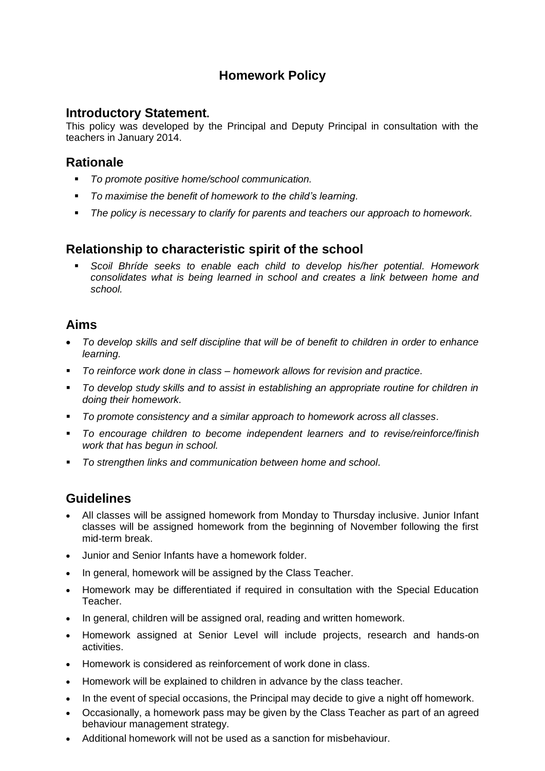# **Homework Policy**

#### **Introductory Statement.**

This policy was developed by the Principal and Deputy Principal in consultation with the teachers in January 2014.

## **Rationale**

- *To promote positive home/school communication.*
- *To maximise the benefit of homework to the child's learning.*
- *The policy is necessary to clarify for parents and teachers our approach to homework.*

## **Relationship to characteristic spirit of the school**

 *Scoil Bhríde seeks to enable each child to develop his/her potential. Homework consolidates what is being learned in school and creates a link between home and school.*

## **Aims**

- *To develop skills and self discipline that will be of benefit to children in order to enhance learning.*
- *To reinforce work done in class – homework allows for revision and practice.*
- *To develop study skills and to assist in establishing an appropriate routine for children in doing their homework.*
- *To promote consistency and a similar approach to homework across all classes.*
- *To encourage children to become independent learners and to revise/reinforce/finish work that has begun in school.*
- *To strengthen links and communication between home and school.*

# **Guidelines**

- All classes will be assigned homework from Monday to Thursday inclusive. Junior Infant classes will be assigned homework from the beginning of November following the first mid-term break.
- Junior and Senior Infants have a homework folder.
- In general, homework will be assigned by the Class Teacher.
- Homework may be differentiated if required in consultation with the Special Education Teacher.
- In general, children will be assigned oral, reading and written homework.
- Homework assigned at Senior Level will include projects, research and hands-on activities.
- Homework is considered as reinforcement of work done in class.
- Homework will be explained to children in advance by the class teacher.
- In the event of special occasions, the Principal may decide to give a night off homework.
- Occasionally, a homework pass may be given by the Class Teacher as part of an agreed behaviour management strategy.
- Additional homework will not be used as a sanction for misbehaviour.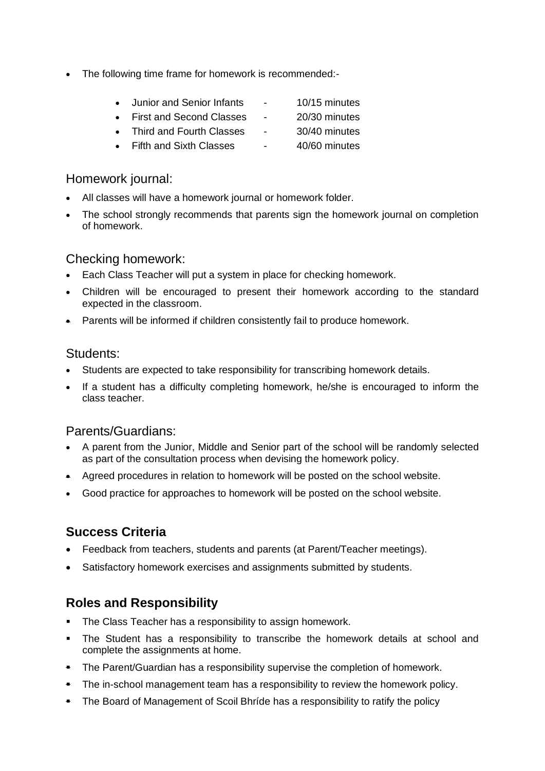- The following time frame for homework is recommended:-
	- Junior and Senior Infants 10/15 minutes
	- First and Second Classes 20/30 minutes
	- Third and Fourth Classes 30/40 minutes
	- Fifth and Sixth Classes 40/60 minutes

### Homework journal:

- All classes will have a homework journal or homework folder.
- The school strongly recommends that parents sign the homework journal on completion of homework.

## Checking homework:

- Each Class Teacher will put a system in place for checking homework.
- Children will be encouraged to present their homework according to the standard expected in the classroom.
- Parents will be informed if children consistently fail to produce homework.

#### Students:

- Students are expected to take responsibility for transcribing homework details.
- If a student has a difficulty completing homework, he/she is encouraged to inform the class teacher.

## Parents/Guardians:

- A parent from the Junior, Middle and Senior part of the school will be randomly selected as part of the consultation process when devising the homework policy.
- Agreed procedures in relation to homework will be posted on the school website.
- Good practice for approaches to homework will be posted on the school website.

# **Success Criteria**

- Feedback from teachers, students and parents (at Parent/Teacher meetings).
- Satisfactory homework exercises and assignments submitted by students.

# **Roles and Responsibility**

- The Class Teacher has a responsibility to assign homework.
- The Student has a responsibility to transcribe the homework details at school and complete the assignments at home.
- The Parent/Guardian has a responsibility supervise the completion of homework.
- **The in-school management team has a responsibility to review the homework policy.**
- The Board of Management of Scoil Bhríde has a responsibility to ratify the policy